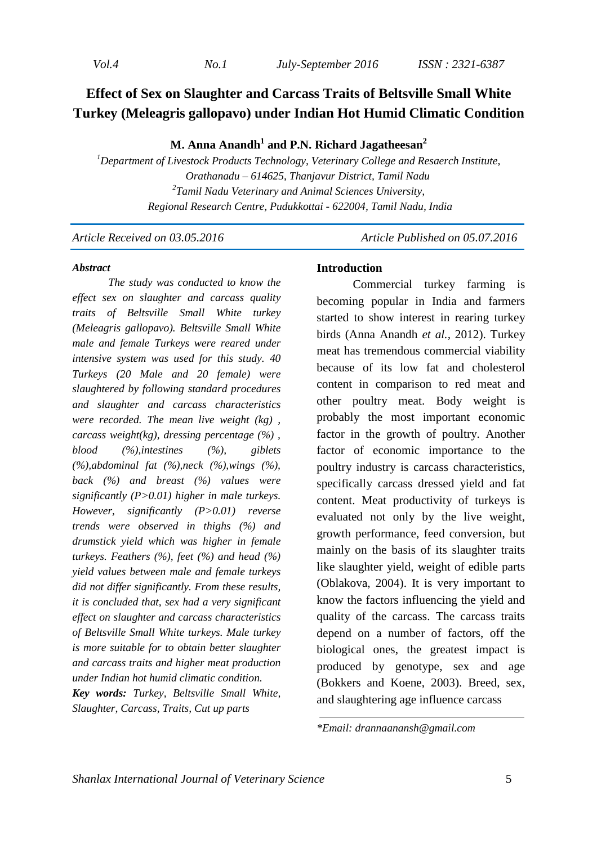# **Effect of Sex on Slaughter and Carcass Traits of Beltsville Small White Turkey (Meleagris gallopavo) under Indian Hot Humid Climatic Condition**

# **M. Anna Anandh<sup>1</sup> and P.N. Richard Jagatheesan<sup>2</sup>**

*<sup>1</sup>Department of Livestock Products Technology, Veterinary College and Resaerch Institute, Orathanadu – 614625, Thanjavur District, Tamil Nadu 2 Tamil Nadu Veterinary and Animal Sciences University, Regional Research Centre, Pudukkottai - 622004, Tamil Nadu, India* 

*Article Received on 03.05.2016 Article Published on 05.07.2016* 

#### *Abstract*

*The study was conducted to know the effect sex on slaughter and carcass quality traits of Beltsville Small White turkey (Meleagris gallopavo). Beltsville Small White male and female Turkeys were reared under intensive system was used for this study. 40 Turkeys (20 Male and 20 female) were slaughtered by following standard procedures and slaughter and carcass characteristics were recorded. The mean live weight (kg) , carcass weight(kg), dressing percentage (%) , blood (%),intestines (%), giblets (%),abdominal fat (%),neck (%),wings (%), back (%) and breast (%) values were significantly (P>0.01) higher in male turkeys. However, significantly (P>0.01) reverse trends were observed in thighs (%) and drumstick yield which was higher in female turkeys. Feathers (%), feet (%) and head (%) yield values between male and female turkeys did not differ significantly. From these results, it is concluded that, sex had a very significant effect on slaughter and carcass characteristics of Beltsville Small White turkeys. Male turkey is more suitable for to obtain better slaughter and carcass traits and higher meat production under Indian hot humid climatic condition.*

*Key words: Turkey, Beltsville Small White, Slaughter, Carcass, Traits, Cut up parts* 

#### **Introduction**

Commercial turkey farming is becoming popular in India and farmers started to show interest in rearing turkey birds (Anna Anandh *et al.,* 2012). Turkey meat has tremendous commercial viability because of its low fat and cholesterol content in comparison to red meat and other poultry meat. Body weight is probably the most important economic factor in the growth of poultry. Another factor of economic importance to the poultry industry is carcass characteristics, specifically carcass dressed yield and fat content. Meat productivity of turkeys is evaluated not only by the live weight, growth performance, feed conversion, but mainly on the basis of its slaughter traits like slaughter yield, weight of edible parts (Oblakova, 2004). It is very important to know the factors influencing the yield and quality of the carcass. The carcass traits depend on a number of factors, off the biological ones, the greatest impact is produced by genotype, sex and age (Bokkers and Koene, 2003). Breed, sex, and slaughtering age influence carcass

*\*Email: drannaanansh@gmail.com*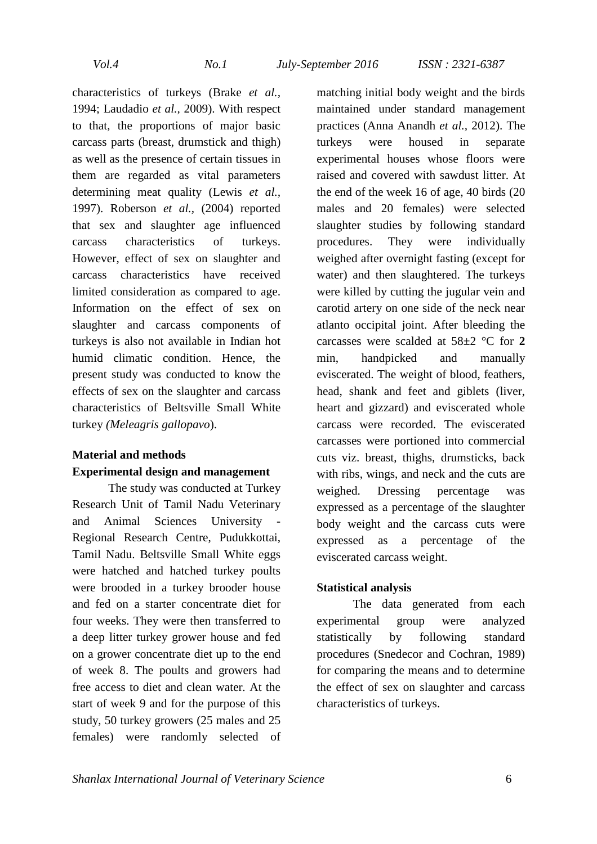characteristics of turkeys (Brake *et al.,* 1994; Laudadio *et al.,* 2009). With respect to that, the proportions of major basic carcass parts (breast, drumstick and thigh) as well as the presence of certain tissues in them are regarded as vital parameters determining meat quality (Lewis *et al.,* 1997). Roberson *et al.,* (2004) reported that sex and slaughter age influenced carcass characteristics of turkeys. However, effect of sex on slaughter and carcass characteristics have received limited consideration as compared to age. Information on the effect of sex on slaughter and carcass components of turkeys is also not available in Indian hot humid climatic condition. Hence, the present study was conducted to know the effects of sex on the slaughter and carcass characteristics of Beltsville Small White turkey *(Meleagris gallopavo*).

# **Material and methods Experimental design and management**

The study was conducted at Turkey Research Unit of Tamil Nadu Veterinary and Animal Sciences University Regional Research Centre, Pudukkottai, Tamil Nadu. Beltsville Small White eggs were hatched and hatched turkey poults were brooded in a turkey brooder house and fed on a starter concentrate diet for four weeks. They were then transferred to a deep litter turkey grower house and fed on a grower concentrate diet up to the end of week 8. The poults and growers had free access to diet and clean water*.* At the start of week 9 and for the purpose of this study, 50 turkey growers (25 males and 25 females) were randomly selected of

matching initial body weight and the birds maintained under standard management practices (Anna Anandh *et al.,* 2012). The turkeys were housed in separate experimental houses whose floors were raised and covered with sawdust litter. At the end of the week 16 of age, 40 birds (20 males and 20 females) were selected slaughter studies by following standard procedures. They were individually weighed after overnight fasting (except for water) and then slaughtered. The turkeys were killed by cutting the jugular vein and carotid artery on one side of the neck near atlanto occipital joint. After bleeding the carcasses were scalded at 58±2 °C for **2**  min, handpicked and manually eviscerated. The weight of blood, feathers, head, shank and feet and giblets (liver, heart and gizzard) and eviscerated whole carcass were recorded. The eviscerated carcasses were portioned into commercial cuts viz. breast, thighs, drumsticks, back with ribs, wings, and neck and the cuts are weighed. Dressing percentage was expressed as a percentage of the slaughter body weight and the carcass cuts were expressed as a percentage of the eviscerated carcass weight.

### **Statistical analysis**

The data generated from each experimental group were analyzed statistically by following standard procedures (Snedecor and Cochran, 1989) for comparing the means and to determine the effect of sex on slaughter and carcass characteristics of turkeys.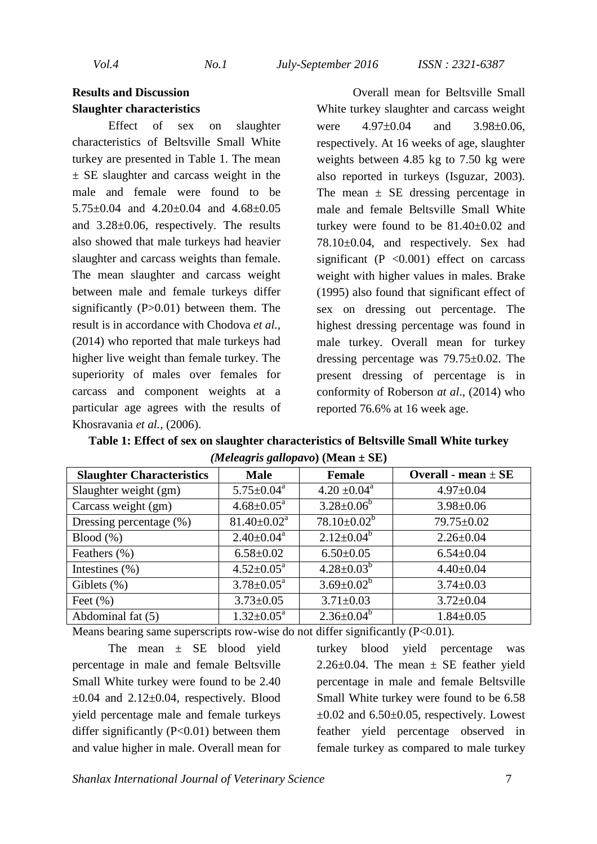*Vol.4 No.1 July-September 2016 ISSN : 2321-6387* 

### **Results and Discussion Slaughter characteristics**

Effect of sex on slaughter characteristics of Beltsville Small White turkey are presented in Table 1. The mean  $\pm$  SE slaughter and carcass weight in the male and female were found to be 5.75±0.04 and 4.20±0.04 and 4.68±0.05 and 3.28±0.06, respectively. The results also showed that male turkeys had heavier slaughter and carcass weights than female. The mean slaughter and carcass weight between male and female turkeys differ significantly (P>0.01) between them. The result is in accordance with Chodova *et al.,* (2014) who reported that male turkeys had higher live weight than female turkey. The superiority of males over females for carcass and component weights at a particular age agrees with the results of Khosravania *et al.,* (2006).

Overall mean for Beltsville Small White turkey slaughter and carcass weight were  $4.97\pm0.04$  and  $3.98\pm0.06$ , respectively. At 16 weeks of age, slaughter weights between 4.85 kg to 7.50 kg were also reported in turkeys (Isguzar, 2003). The mean  $\pm$  SE dressing percentage in male and female Beltsville Small White turkey were found to be 81.40±0.02 and 78.10±0.04, and respectively. Sex had significant ( $P \leq 0.001$ ) effect on carcass weight with higher values in males. Brake (1995) also found that significant effect of sex on dressing out percentage. The highest dressing percentage was found in male turkey. Overall mean for turkey dressing percentage was 79.75±0.02. The present dressing of percentage is in conformity of Roberson *at al*., (2014) who reported 76.6% at 16 week age.

**Table 1: Effect of sex on slaughter characteristics of Beltsville Small White turkey**  *(Meleagris gallopavo***) (Mean ± SE)** 

| <b>Slaughter Characteristics</b> | <b>Male</b>                | <b>Female</b>     | Overall - mean $\pm$ SE |
|----------------------------------|----------------------------|-------------------|-------------------------|
| Slaughter weight (gm)            | $5.75 \pm 0.04^a$          | $4.20 \pm 0.04^a$ | $4.97 \pm 0.04$         |
| Carcass weight (gm)              | $4.68 \pm 0.05^{\text{a}}$ | $3.28 \pm 0.06^b$ | $3.98 \pm 0.06$         |
| Dressing percentage (%)          | $81.40 \pm 0.02^a$         | $78.10\pm0.02^b$  | 79.75±0.02              |
| Blood (%)                        | $2.40 \pm 0.04^{\text{a}}$ | $2.12 \pm 0.04^b$ | $2.26 \pm 0.04$         |
| Feathers $(\% )$                 | $6.58 \pm 0.02$            | $6.50 \pm 0.05$   | $6.54 \pm 0.04$         |
| Intestines $(\% )$               | $4.52 \pm 0.05^{\text{a}}$ | $4.28 \pm 0.03^b$ | $4.40 \pm 0.04$         |
| Giblets $(\%)$                   | $3.78 \pm 0.05^{\text{a}}$ | $3.69 \pm 0.02^b$ | $3.74 \pm 0.03$         |
| Feet $(\% )$                     | $3.73 \pm 0.05$            | $3.71 \pm 0.03$   | $3.72 \pm 0.04$         |
| Abdominal fat (5)                | $1.32 \pm 0.05^{\text{a}}$ | $2.36 \pm 0.04^b$ | $1.84 \pm 0.05$         |

Means bearing same superscripts row-wise do not differ significantly  $(P<0.01)$ .

The mean ± SE blood yield percentage in male and female Beltsville Small White turkey were found to be 2.40  $\pm 0.04$  and  $2.12 \pm 0.04$ , respectively. Blood yield percentage male and female turkeys differ significantly  $(P<0.01)$  between them and value higher in male. Overall mean for

turkey blood yield percentage was 2.26 $\pm$ 0.04. The mean  $\pm$  SE feather yield percentage in male and female Beltsville Small White turkey were found to be 6.58  $\pm 0.02$  and 6.50 $\pm 0.05$ , respectively. Lowest feather yield percentage observed in female turkey as compared to male turkey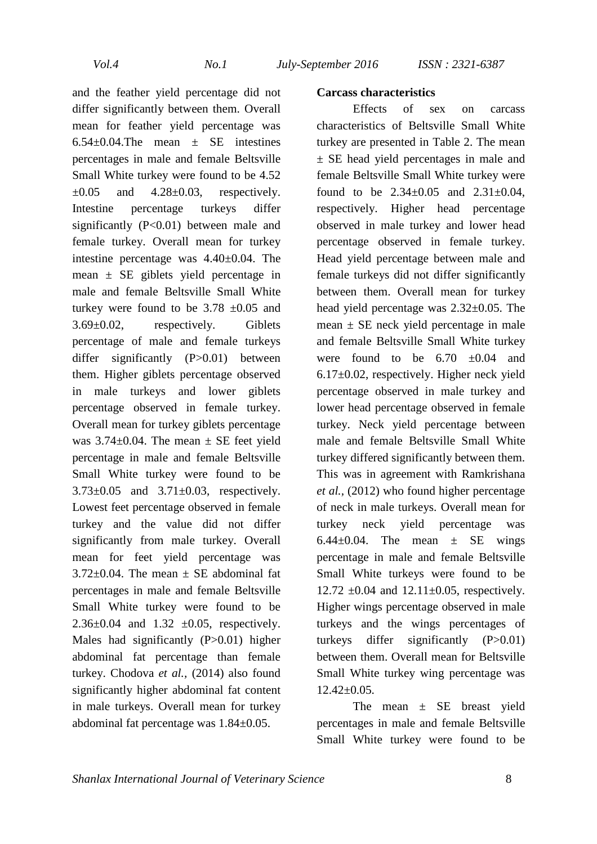and the feather yield percentage did not differ significantly between them. Overall mean for feather yield percentage was  $6.54\pm0.04$ .The mean  $\pm$  SE intestines percentages in male and female Beltsville Small White turkey were found to be 4.52  $\pm 0.05$  and  $4.28 \pm 0.03$ , respectively. Intestine percentage turkeys differ significantly  $(P<0.01)$  between male and female turkey. Overall mean for turkey intestine percentage was 4.40±0.04. The mean  $\pm$  SE giblets yield percentage in male and female Beltsville Small White turkey were found to be  $3.78 \pm 0.05$  and 3.69±0.02, respectively. Giblets percentage of male and female turkeys differ significantly (P>0.01) between them. Higher giblets percentage observed in male turkeys and lower giblets percentage observed in female turkey. Overall mean for turkey giblets percentage was  $3.74\pm0.04$ . The mean  $\pm$  SE feet yield percentage in male and female Beltsville Small White turkey were found to be 3.73±0.05 and 3.71±0.03, respectively. Lowest feet percentage observed in female turkey and the value did not differ significantly from male turkey. Overall mean for feet yield percentage was  $3.72\pm0.04$ . The mean  $\pm$  SE abdominal fat percentages in male and female Beltsville Small White turkey were found to be 2.36 $\pm$ 0.04 and 1.32  $\pm$ 0.05, respectively. Males had significantly (P>0.01) higher abdominal fat percentage than female turkey. Chodova *et al.,* (2014) also found significantly higher abdominal fat content in male turkeys. Overall mean for turkey abdominal fat percentage was 1.84±0.05.

### **Carcass characteristics**

Effects of sex on carcass characteristics of Beltsville Small White turkey are presented in Table 2. The mean ± SE head yield percentages in male and female Beltsville Small White turkey were found to be  $2.34 \pm 0.05$  and  $2.31 \pm 0.04$ , respectively. Higher head percentage observed in male turkey and lower head percentage observed in female turkey. Head yield percentage between male and female turkeys did not differ significantly between them. Overall mean for turkey head yield percentage was 2.32±0.05. The mean  $\pm$  SE neck yield percentage in male and female Beltsville Small White turkey were found to be  $6.70 \div 0.04$  and 6.17±0.02, respectively. Higher neck yield percentage observed in male turkey and lower head percentage observed in female turkey. Neck yield percentage between male and female Beltsville Small White turkey differed significantly between them. This was in agreement with Ramkrishana *et al.,* (2012) who found higher percentage of neck in male turkeys. Overall mean for turkey neck yield percentage was 6.44 $\pm$ 0.04. The mean  $\pm$  SE wings percentage in male and female Beltsville Small White turkeys were found to be 12.72  $\pm 0.04$  and 12.11 $\pm 0.05$ , respectively. Higher wings percentage observed in male turkeys and the wings percentages of turkeys differ significantly (P>0.01) between them. Overall mean for Beltsville Small White turkey wing percentage was  $12.42\pm0.05$ .

The mean  $\pm$  SE breast yield percentages in male and female Beltsville Small White turkey were found to be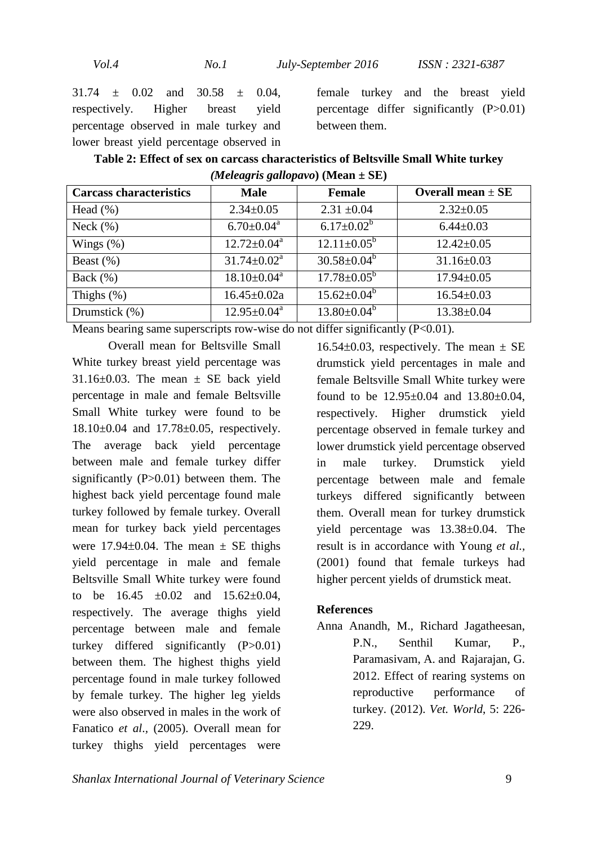31.74 ± 0.02 and 30.58 ± 0.04, respectively. Higher breast yield percentage observed in male turkey and lower breast yield percentage observed in

female turkey and the breast yield percentage differ significantly (P>0.01) between them.

| Table 2: Effect of sex on carcass characteristics of Beltsville Small White turkey |
|------------------------------------------------------------------------------------|
| <i>(Meleagris gallopavo)</i> (Mean $\pm$ SE)                                       |

| <b>Carcass characteristics</b> | <b>Male</b>                 | <b>Female</b>            | Overall mean $\pm$ SE |
|--------------------------------|-----------------------------|--------------------------|-----------------------|
| Head $(\% )$                   | $2.34 \pm 0.05$             | $2.31 \pm 0.04$          | $2.32 \pm 0.05$       |
| Neck $(\% )$                   | $6.70 \pm 0.04^{\text{a}}$  | $6.17 \pm 0.02^b$        | $6.44 \pm 0.03$       |
| Wings $(\%)$                   | $12.72 \pm 0.04^{\text{a}}$ | $12.11 \pm 0.05^{\circ}$ | $12.42 \pm 0.05$      |
| Beast $(\%)$                   | $31.74 \pm 0.02^a$          | $30.58 \pm 0.04^b$       | $31.16 \pm 0.03$      |
| Back $(\% )$                   | $18.10 \pm 0.04^{\text{a}}$ | $17.78 \pm 0.05^{\rm b}$ | $17.94 \pm 0.05$      |
| Thighs $(\%)$                  | $16.45 \pm 0.02a$           | $15.62 \pm 0.04^b$       | $16.54 \pm 0.03$      |
| Drumstick (%)                  | $12.95 \pm 0.04^{\text{a}}$ | $13.80 \pm 0.04^b$       | $13.38 \pm 0.04$      |

Means bearing same superscripts row-wise do not differ significantly (P<0.01).

Overall mean for Beltsville Small White turkey breast yield percentage was  $31.16\pm0.03$ . The mean  $\pm$  SE back vield percentage in male and female Beltsville Small White turkey were found to be 18.10±0.04 and 17.78±0.05, respectively. The average back yield percentage between male and female turkey differ significantly (P>0.01) between them. The highest back yield percentage found male turkey followed by female turkey. Overall mean for turkey back yield percentages were  $17.94\pm0.04$ . The mean  $\pm$  SE thighs yield percentage in male and female Beltsville Small White turkey were found to be  $16.45 \pm 0.02$  and  $15.62 \pm 0.04$ , respectively. The average thighs yield percentage between male and female turkey differed significantly (P>0.01) between them. The highest thighs yield percentage found in male turkey followed by female turkey. The higher leg yields were also observed in males in the work of Fanatico *et al*.*,* (2005). Overall mean for turkey thighs yield percentages were

16.54 $\pm$ 0.03, respectively. The mean  $\pm$  SE drumstick yield percentages in male and female Beltsville Small White turkey were found to be 12.95±0.04 and 13.80±0.04, respectively. Higher drumstick yield percentage observed in female turkey and lower drumstick yield percentage observed in male turkey. Drumstick yield percentage between male and female turkeys differed significantly between them. Overall mean for turkey drumstick yield percentage was 13.38±0.04. The result is in accordance with Young *et al.,* (2001) found that female turkeys had higher percent yields of drumstick meat.

### **References**

Anna Anandh, M., Richard Jagatheesan, P.N., Senthil Kumar, P., Paramasivam, A. and Rajarajan, G. 2012. Effect of rearing systems on reproductive performance of turkey. (2012). *Vet. World*, 5: 226- 229.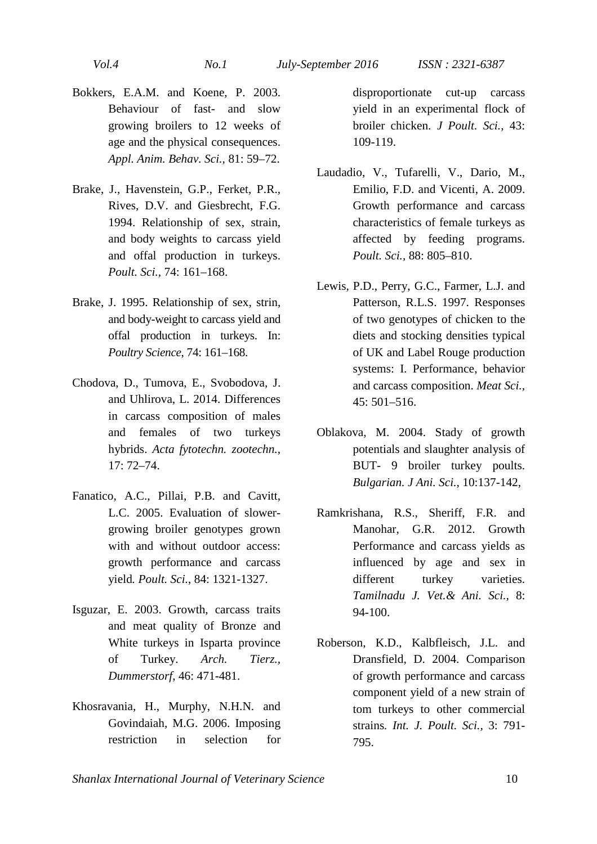- Bokkers, E.A.M. and Koene, P. 2003. Behaviour of fast- and slow growing broilers to 12 weeks of age and the physical consequences. *Appl. Anim. Behav. Sci.,* 81: 59–72.
- Brake, J., Havenstein, G.P., Ferket, P.R., Rives, D.V. and Giesbrecht, F.G. 1994. Relationship of sex, strain, and body weights to carcass yield and offal production in turkeys. *Poult. Sci.,* 74: 161–168.
- Brake, J. 1995. Relationship of sex, strin, and body-weight to carcass yield and offal production in turkeys. In: *Poultry Science*, 74: 161–168.
- Chodova, D., Tumova, E., Svobodova, J. and Uhlirova, L. 2014. Differences in carcass composition of males and females of two turkeys hybrids. *Acta fytotechn. zootechn.,* 17: 72–74.
- Fanatico, A.C., Pillai, P.B. and Cavitt, L.C. 2005. Evaluation of slowergrowing broiler genotypes grown with and without outdoor access: growth performance and carcass yield*. Poult. Sci.*, 84: 1321-1327.
- Isguzar, E. 2003. Growth, carcass traits and meat quality of Bronze and White turkeys in Isparta province of Turkey. *Arch. Tierz., Dummerstorf*, 46: 471-481.
- Khosravania, H., Murphy, N.H.N. and Govindaiah, M.G. 2006. Imposing restriction in selection for

disproportionate cut-up carcass yield in an experimental flock of broiler chicken. *J Poult. Sci.*, 43: 109-119.

- Laudadio, V., Tufarelli, V., Dario, M., Emilio, F.D. and Vicenti, A. 2009. Growth performance and carcass characteristics of female turkeys as affected by feeding programs. *Poult. Sci.,* 88: 805–810.
- Lewis, P.D., Perry, G.C., Farmer, L.J. and Patterson, R.L.S. 1997. Responses of two genotypes of chicken to the diets and stocking densities typical of UK and Label Rouge production systems: I. Performance, behavior and carcass composition. *Meat Sci.,* 45: 501–516.
- Oblakova, M. 2004. Stady of growth potentials and slaughter analysis of BUT- 9 broiler turkey poults. *Bulgarian. J Ani. Sci.*, 10:137-142,
- Ramkrishana, R.S., Sheriff, F.R. and Manohar, G.R. 2012. Growth Performance and carcass yields as influenced by age and sex in different turkey varieties. *Tamilnadu J. Vet.& Ani. Sci.,* 8: 94-100.
- Roberson, K.D., Kalbfleisch, J.L. and Dransfield, D. 2004. Comparison of growth performance and carcass component yield of a new strain of tom turkeys to other commercial strains*. Int. J. Poult. Sci.,* 3: 791- 795.

*Shanlax International Journal of Veterinary Science* 10